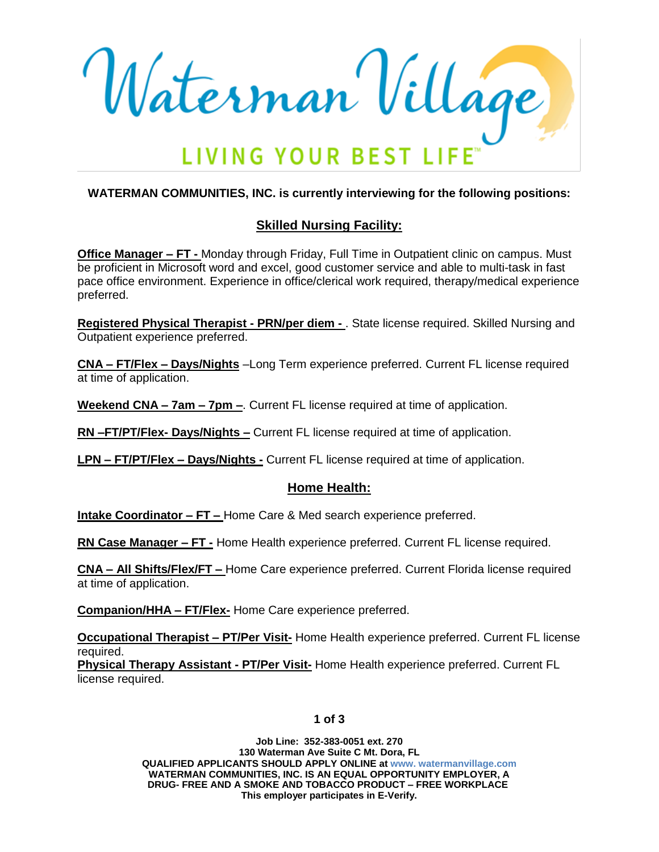Waterman Village **LIVING YOUR BEST L** 

### **WATERMAN COMMUNITIES, INC. is currently interviewing for the following positions:**

# **Skilled Nursing Facility:**

**Office Manager – FT -** Monday through Friday, Full Time in Outpatient clinic on campus. Must be proficient in Microsoft word and excel, good customer service and able to multi-task in fast pace office environment. Experience in office/clerical work required, therapy/medical experience preferred.

**Registered Physical Therapist - PRN/per diem -** . State license required. Skilled Nursing and Outpatient experience preferred.

**CNA – FT/Flex – Days/Nights** –Long Term experience preferred. Current FL license required at time of application.

**Weekend CNA – 7am – 7pm –**. Current FL license required at time of application.

**RN –FT/PT/Flex- Days/Nights –** Current FL license required at time of application.

**LPN – FT/PT/Flex – Days/Nights -** Current FL license required at time of application.

### **Home Health:**

**Intake Coordinator – FT –** Home Care & Med search experience preferred.

**RN Case Manager – FT -** Home Health experience preferred. Current FL license required.

**CNA – All Shifts/Flex/FT –** Home Care experience preferred. Current Florida license required at time of application.

**Companion/HHA – FT/Flex-** Home Care experience preferred.

**Occupational Therapist – PT/Per Visit-** Home Health experience preferred. Current FL license required.

**Physical Therapy Assistant - PT/Per Visit-** Home Health experience preferred. Current FL license required.

#### **1 of 3**

**Job Line: 352-383-0051 ext. 270 130 Waterman Ave Suite C Mt. Dora, FL QUALIFIED APPLICANTS SHOULD APPLY ONLINE at www. watermanvillage.com WATERMAN COMMUNITIES, INC. IS AN EQUAL OPPORTUNITY EMPLOYER, A DRUG- FREE AND A SMOKE AND TOBACCO PRODUCT – FREE WORKPLACE This employer participates in E-Verify.**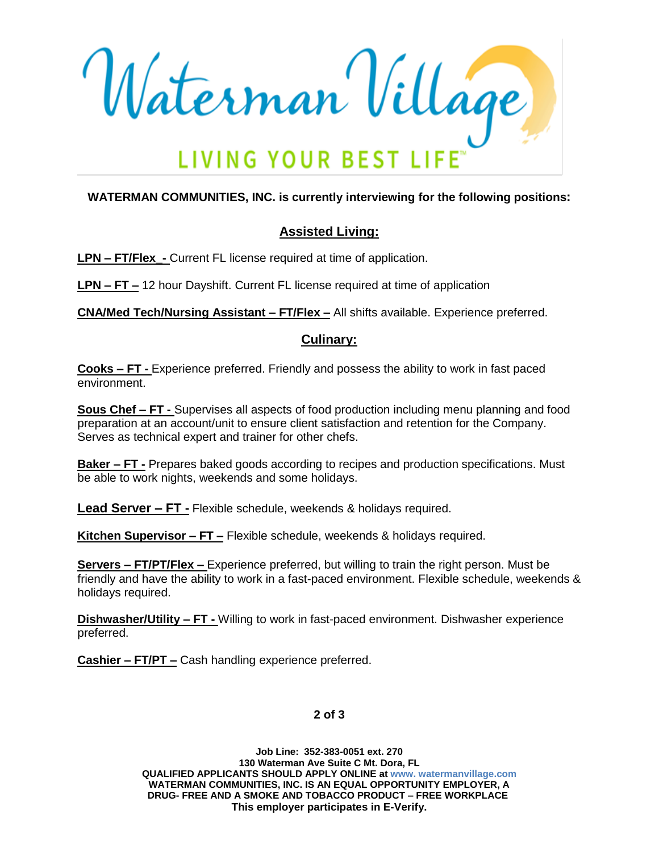Waterman Village LIVING YOUR BEST LI

### **WATERMAN COMMUNITIES, INC. is currently interviewing for the following positions:**

# **Assisted Living:**

**LPN – FT/Flex\_-** Current FL license required at time of application.

**LPN – FT –** 12 hour Dayshift. Current FL license required at time of application

**CNA/Med Tech/Nursing Assistant – FT/Flex –** All shifts available. Experience preferred.

### **Culinary:**

**Cooks – FT -** Experience preferred. Friendly and possess the ability to work in fast paced environment.

**Sous Chef – FT -** Supervises all aspects of food production including menu planning and food preparation at an account/unit to ensure client satisfaction and retention for the Company. Serves as technical expert and trainer for other chefs.

**Baker – FT -** Prepares baked goods according to recipes and production specifications. Must be able to work nights, weekends and some holidays.

**Lead Server – FT -** Flexible schedule, weekends & holidays required.

**Kitchen Supervisor – FT –** Flexible schedule, weekends & holidays required.

**Servers – FT/PT/Flex –** Experience preferred, but willing to train the right person. Must be friendly and have the ability to work in a fast-paced environment. Flexible schedule, weekends & holidays required.

**Dishwasher/Utility – FT -** Willing to work in fast-paced environment. Dishwasher experience preferred.

**Cashier – FT/PT –** Cash handling experience preferred.

#### **2 of 3**

**Job Line: 352-383-0051 ext. 270 130 Waterman Ave Suite C Mt. Dora, FL QUALIFIED APPLICANTS SHOULD APPLY ONLINE at www. watermanvillage.com WATERMAN COMMUNITIES, INC. IS AN EQUAL OPPORTUNITY EMPLOYER, A DRUG- FREE AND A SMOKE AND TOBACCO PRODUCT – FREE WORKPLACE This employer participates in E-Verify.**